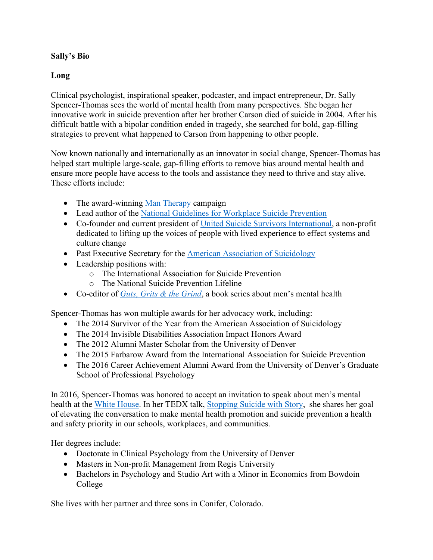## **Sally's Bio**

## **Long**

Clinical psychologist, inspirational speaker, podcaster, and impact entrepreneur, Dr. Sally Spencer-Thomas sees the world of mental health from many perspectives. She began her innovative work in suicide prevention after her brother Carson died of suicide in 2004. After his difficult battle with a bipolar condition ended in tragedy, she searched for bold, gap-filling strategies to prevent what happened to Carson from happening to other people.

Now known nationally and internationally as an innovator in social change, Spencer-Thomas has helped start multiple large-scale, gap-filling efforts to remove bias around mental health and ensure more people have access to the tools and assistance they need to thrive and stay alive. These efforts include:

- The award-winning [Man Therapy](https://www.mantherapy.org/) campaign
- Lead author of the [National Guidelines for Workplace Suicide Prevention](https://workplacesuicideprevention.com/)
- Co-founder and current president of [United Suicide Survivors International,](https://unitesurvivors.org/) a non-profit dedicated to lifting up the voices of people with lived experience to effect systems and culture change
- Past Executive Secretary for the **American Association of Suicidology**
- Leadership positions with:
	- o The International Association for Suicide Prevention
	- o The National Suicide Prevention Lifeline
- Co-editor of *[Guts, Grits & the Grind](https://www.gutsgritgrind.com/)*, a book series about men's mental health

Spencer-Thomas has won multiple awards for her advocacy work, including:

- The 2014 Survivor of the Year from the American Association of Suicidology
- The 2014 Invisible Disabilities Association Impact Honors Award
- The 2012 Alumni Master Scholar from the University of Denver
- The 2015 Farbarow Award from the International Association for Suicide Prevention
- The 2016 Career Achievement Alumni Award from the University of Denver's Graduate School of Professional Psychology

In 2016, Spencer-Thomas was honored to accept an invitation to speak about men's mental health at the [White House.](https://www.menshealthnetwork.org/2016-white-house-dialogue-on-mens-health) In her TEDX talk, [Stopping Suicide with Story,](https://www.youtube.com/watch?v=BE428HoKoLk) she shares her goal of elevating the conversation to make mental health promotion and suicide prevention a health and safety priority in our schools, workplaces, and communities.

Her degrees include:

- Doctorate in Clinical Psychology from the University of Denver
- Masters in Non-profit Management from Regis University
- Bachelors in Psychology and Studio Art with a Minor in Economics from Bowdoin College

She lives with her partner and three sons in Conifer, Colorado.